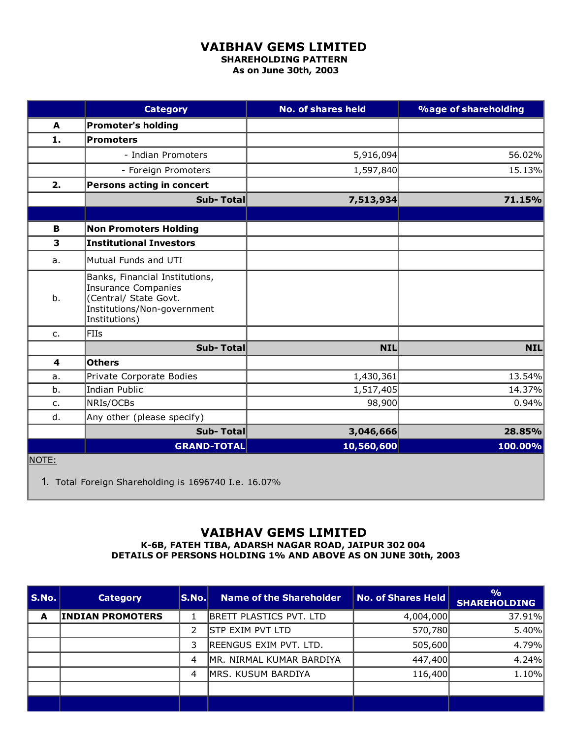## VAIBHAV GEMS LIMITED

SHAREHOLDING PATTERN As on June 30th, 2003

|                         | <b>Category</b>                                                                                                                       | <b>No. of shares held</b> | <b>%age of shareholding</b> |
|-------------------------|---------------------------------------------------------------------------------------------------------------------------------------|---------------------------|-----------------------------|
| A                       | <b>Promoter's holding</b>                                                                                                             |                           |                             |
| 1.                      | <b>Promoters</b>                                                                                                                      |                           |                             |
|                         | - Indian Promoters                                                                                                                    | 5,916,094                 | 56.02%                      |
|                         | - Foreign Promoters                                                                                                                   | 1,597,840                 | 15.13%                      |
| 2.                      | Persons acting in concert                                                                                                             |                           |                             |
|                         | Sub-Total                                                                                                                             | 7,513,934                 | 71.15%                      |
|                         |                                                                                                                                       |                           |                             |
| в                       | <b>Non Promoters Holding</b>                                                                                                          |                           |                             |
| 3                       | <b>Institutional Investors</b>                                                                                                        |                           |                             |
| a.                      | Mutual Funds and UTI                                                                                                                  |                           |                             |
| b.                      | Banks, Financial Institutions,<br><b>Insurance Companies</b><br>(Central/ State Govt.<br>Institutions/Non-government<br>Institutions) |                           |                             |
| $C_{\bullet}$           | <b>FIIs</b>                                                                                                                           |                           |                             |
|                         | Sub-Total                                                                                                                             | <b>NIL</b>                | <b>NIL</b>                  |
| $\overline{\mathbf{4}}$ | <b>Others</b>                                                                                                                         |                           |                             |
| a.                      | Private Corporate Bodies                                                                                                              | 1,430,361                 | 13.54%                      |
| b.                      | <b>Indian Public</b>                                                                                                                  | 1,517,405                 | 14.37%                      |
| c.                      | NRIs/OCBs                                                                                                                             | 98,900                    | 0.94%                       |
| d.                      | Any other (please specify)                                                                                                            |                           |                             |
|                         | Sub-Total                                                                                                                             | 3,046,666                 | 28.85%                      |
|                         | <b>GRAND-TOTAL</b>                                                                                                                    | 10,560,600                | 100.00%                     |
| <u>NOTE:</u>            |                                                                                                                                       |                           |                             |

1. Total Foreign Shareholding is 1696740 I.e. 16.07%

## VAIBHAV GEMS LIMITED

K6B, FATEH TIBA, ADARSH NAGAR ROAD, JAIPUR 302 004 DETAILS OF PERSONS HOLDING 1% AND ABOVE AS ON JUNE 30th, 2003

| S.No. | <b>Category</b>         | S.No. | <b>Name of the Shareholder</b> | <b>No. of Shares Held</b> | $\frac{0}{0}$<br><b>SHAREHOLDING</b> |
|-------|-------------------------|-------|--------------------------------|---------------------------|--------------------------------------|
| A     | <b>INDIAN PROMOTERS</b> |       | <b>BRETT PLASTICS PVT. LTD</b> | 4,004,000                 | 37.91%                               |
|       |                         |       | Stp exim pvt ltd               | 570,780                   | 5.40%                                |
|       |                         | 3     | REENGUS EXIM PVT. LTD.         | 505,600                   | 4.79%                                |
|       |                         | 4     | MR. NIRMAL KUMAR BARDIYA       | 447,400                   | 4.24%                                |
|       |                         | 4     | MRS. KUSUM BARDIYA             | 116,400                   | 1.10%                                |
|       |                         |       |                                |                           |                                      |
|       |                         |       |                                |                           |                                      |